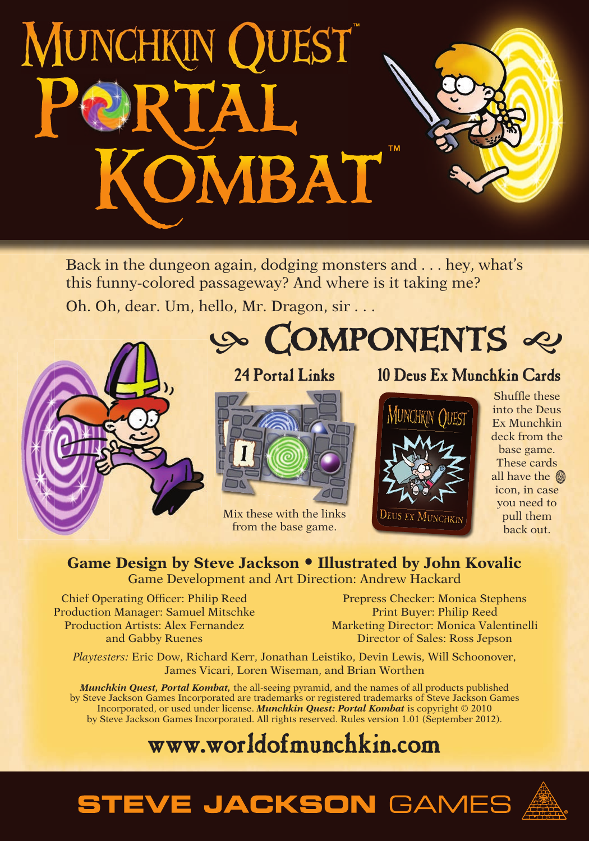# **MUNCHKIN QUEST** ™ PORTAL OMBAT

Back in the dungeon again, dodging monsters and . . . hey, what's this funny-colored passageway? And where is it taking me? Oh. Oh, dear. Um, hello, Mr. Dragon, sir . . .



#### **24 Portal Links**



Mix these with the links from the base game.

#### **10 Deus Ex Munchkin Cards**



Shuffle these into the Deus Ex Munchkin deck from the base game. These cards all have the **O** icon, in case you need to pull them back out.

#### **Game Design by Steve Jackson • Illustrated by John Kovalic** Game Development and Art Direction: Andrew Hackard

Chief Operating Officer: Philip Reed Production Manager: Samuel Mitschke Production Artists: Alex Fernandez and Gabby Ruenes

Prepress Checker: Monica Stephens Print Buyer: Philip Reed Marketing Director: Monica Valentinelli Director of Sales: Ross Jepson

*Playtesters:* Eric Dow, Richard Kerr, Jonathan Leistiko, Devin Lewis, Will Schoonover, James Vicari, Loren Wiseman, and Brian Worthen

*Munchkin Quest, Portal Kombat,* the all-seeing pyramid, and the names of all products published by Steve Jackson Games Incorporated are trademarks or registered trademarks of Steve Jackson Games Incorporated, or used under license. *Munchkin Quest: Portal Kombat* is copyright © 2010 by Steve Jackson Games Incorporated. All rights reserved. Rules version 1.01 (September 2012).

## **www.worldofmunchkin.com**